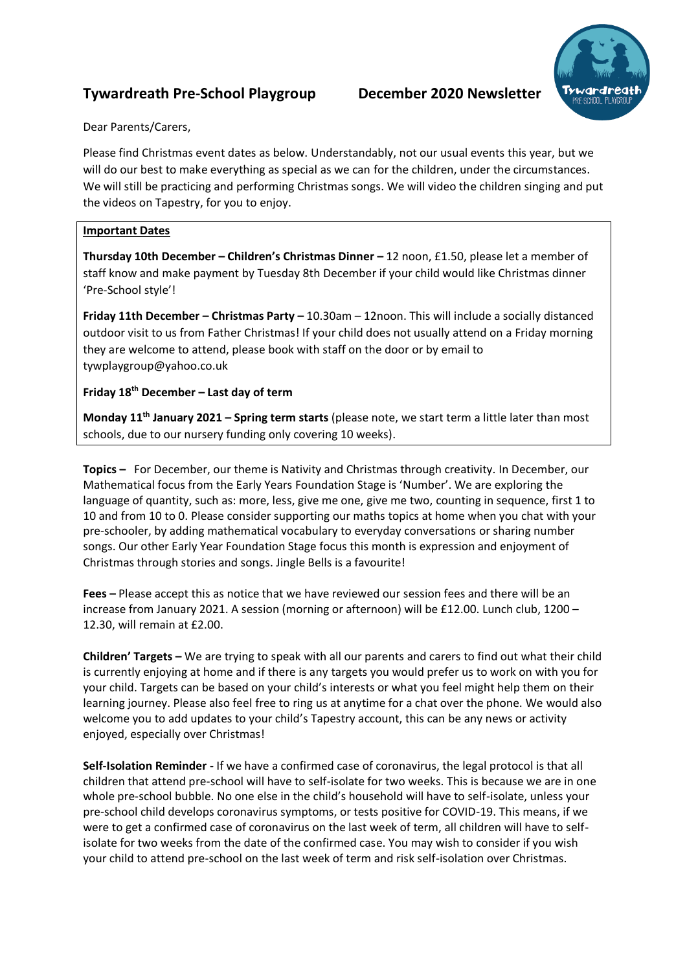## **Tywardreath Pre-School Playgroup December 2020 Newsletter**



Dear Parents/Carers,

Please find Christmas event dates as below. Understandably, not our usual events this year, but we will do our best to make everything as special as we can for the children, under the circumstances. We will still be practicing and performing Christmas songs. We will video the children singing and put the videos on Tapestry, for you to enjoy.

## **Important Dates**

**Thursday 10th December – Children's Christmas Dinner –** 12 noon, £1.50, please let a member of staff know and make payment by Tuesday 8th December if your child would like Christmas dinner 'Pre-School style'!

**Friday 11th December – Christmas Party –** 10.30am – 12noon. This will include a socially distanced outdoor visit to us from Father Christmas! If your child does not usually attend on a Friday morning they are welcome to attend, please book with staff on the door or by email to tywplaygroup@yahoo.co.uk

## **Friday 18th December – Last day of term**

**Monday 11th January 2021 – Spring term starts** (please note, we start term a little later than most schools, due to our nursery funding only covering 10 weeks).

**Topics –** For December, our theme is Nativity and Christmas through creativity. In December, our Mathematical focus from the Early Years Foundation Stage is 'Number'. We are exploring the language of quantity, such as: more, less, give me one, give me two, counting in sequence, first 1 to 10 and from 10 to 0. Please consider supporting our maths topics at home when you chat with your pre-schooler, by adding mathematical vocabulary to everyday conversations or sharing number songs. Our other Early Year Foundation Stage focus this month is expression and enjoyment of Christmas through stories and songs. Jingle Bells is a favourite!

**Fees –** Please accept this as notice that we have reviewed our session fees and there will be an increase from January 2021. A session (morning or afternoon) will be £12.00. Lunch club, 1200 – 12.30, will remain at £2.00.

**Children' Targets –** We are trying to speak with all our parents and carers to find out what their child is currently enjoying at home and if there is any targets you would prefer us to work on with you for your child. Targets can be based on your child's interests or what you feel might help them on their learning journey. Please also feel free to ring us at anytime for a chat over the phone. We would also welcome you to add updates to your child's Tapestry account, this can be any news or activity enjoyed, especially over Christmas!

**Self-Isolation Reminder -** If we have a confirmed case of coronavirus, the legal protocol is that all children that attend pre-school will have to self-isolate for two weeks. This is because we are in one whole pre-school bubble. No one else in the child's household will have to self-isolate, unless your pre-school child develops coronavirus symptoms, or tests positive for COVID-19. This means, if we were to get a confirmed case of coronavirus on the last week of term, all children will have to selfisolate for two weeks from the date of the confirmed case. You may wish to consider if you wish your child to attend pre-school on the last week of term and risk self-isolation over Christmas.